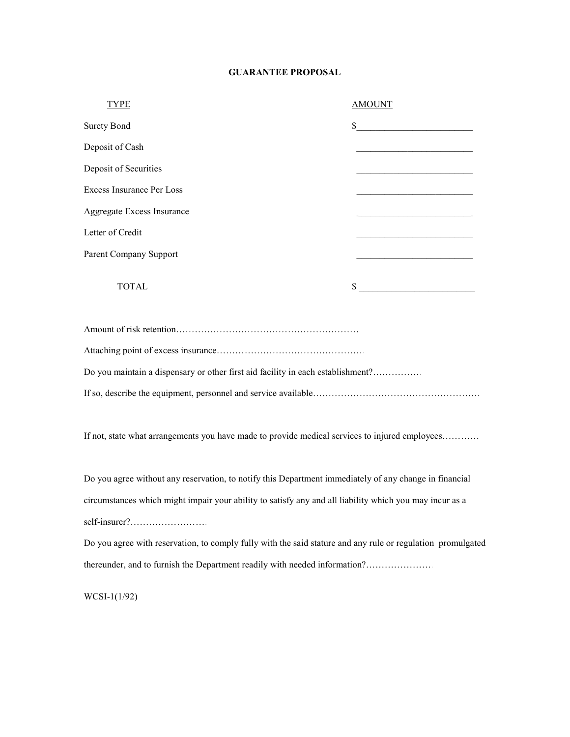## **GUARANTEE PROPOSAL**

| TYPE                                                                                           | <b>AMOUNT</b>                                                                                                          |  |  |  |
|------------------------------------------------------------------------------------------------|------------------------------------------------------------------------------------------------------------------------|--|--|--|
| <b>Surety Bond</b>                                                                             | s                                                                                                                      |  |  |  |
| Deposit of Cash                                                                                | <u> 1989 - Johann John Stone, mars eta bainar eta industrial eta erromana eta erromana eta erromana eta erromana</u>   |  |  |  |
| Deposit of Securities                                                                          | the control of the control of the control of the control of the control of the control of                              |  |  |  |
| <b>Excess Insurance Per Loss</b>                                                               | <u> 1989 - Johann John Stein, mars an deus Frankrik (d. 1989)</u>                                                      |  |  |  |
| Aggregate Excess Insurance                                                                     | <u> 1989 - Johann John Stone, mars eta bainar eta baina eta baina eta baina eta baina eta baina eta baina eta ba</u>   |  |  |  |
| Letter of Credit                                                                               | <u> 1989 - Johann John Stone, market fan it ferskearre fan it ferskearre fan it ferskearre fan it ferskearre fan i</u> |  |  |  |
| Parent Company Support                                                                         |                                                                                                                        |  |  |  |
| <b>TOTAL</b>                                                                                   | $\sim$                                                                                                                 |  |  |  |
|                                                                                                |                                                                                                                        |  |  |  |
|                                                                                                |                                                                                                                        |  |  |  |
| Do you maintain a dispensary or other first aid facility in each establishment?                |                                                                                                                        |  |  |  |
|                                                                                                |                                                                                                                        |  |  |  |
|                                                                                                |                                                                                                                        |  |  |  |
| If not, state what arrangements you have made to provide medical services to injured employees |                                                                                                                        |  |  |  |

Do you agree without any reservation, to notify this Department immediately of any change in financial circumstances which might impair your ability to satisfy any and all liability which you may incur as a self-insurer?…………………………………...

Do you agree with reservation, to comply fully with the said stature and any rule or regulation promulgated thereunder, and to furnish the Department readily with needed information?…………………

WCSI-1(1/92)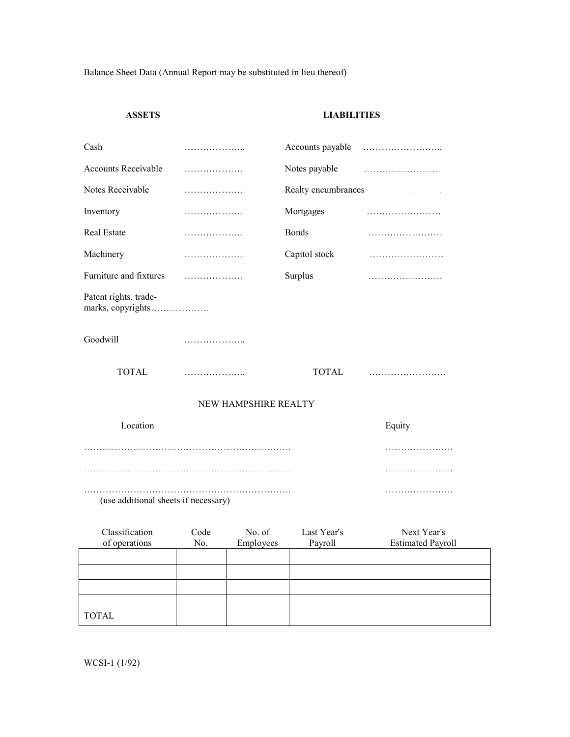Balance Sheet Data (Annual Report may be substituted in lieu thereof)

## **ASSETS LIABILITIES**

| Cash                                       | .            |                 | Accounts payable |             |  |
|--------------------------------------------|--------------|-----------------|------------------|-------------|--|
| <b>Accounts Receivable</b>                 | .            |                 | Notes payable    |             |  |
| Notes Receivable                           | .            |                 |                  |             |  |
| Inventory                                  | .            |                 | Mortgages        |             |  |
| Real Estate                                | .            |                 | <b>Bonds</b>     |             |  |
| Machinery                                  | .            |                 | Capitol stock    |             |  |
| Furniture and fixtures                     | .            |                 | Surplus          |             |  |
| Patent rights, trade-<br>marks, copyrights |              |                 |                  |             |  |
| Goodwill                                   | .            |                 |                  |             |  |
| <b>TOTAL</b>                               | .            |                 | <b>TOTAL</b>     |             |  |
| NEW HAMPSHIRE REALTY                       |              |                 |                  |             |  |
| Location                                   |              |                 |                  | Equity      |  |
|                                            |              |                 |                  |             |  |
|                                            |              |                 |                  |             |  |
| (use additional sheets if necessary)       |              |                 |                  |             |  |
| Classification                             | $C_{\Omega}$ | $N_{\Omega}$ of | Last Vear's      | Novt Voar's |  |

| Classification | Code | No. of    | Last Year's | Next Year's              |
|----------------|------|-----------|-------------|--------------------------|
| of operations  | No.  | Employees | Payroll     | <b>Estimated Payroll</b> |
|                |      |           |             |                          |
|                |      |           |             |                          |
|                |      |           |             |                          |
|                |      |           |             |                          |
|                |      |           |             |                          |
| <b>TOTAL</b>   |      |           |             |                          |

WCSI-1 (1/92)